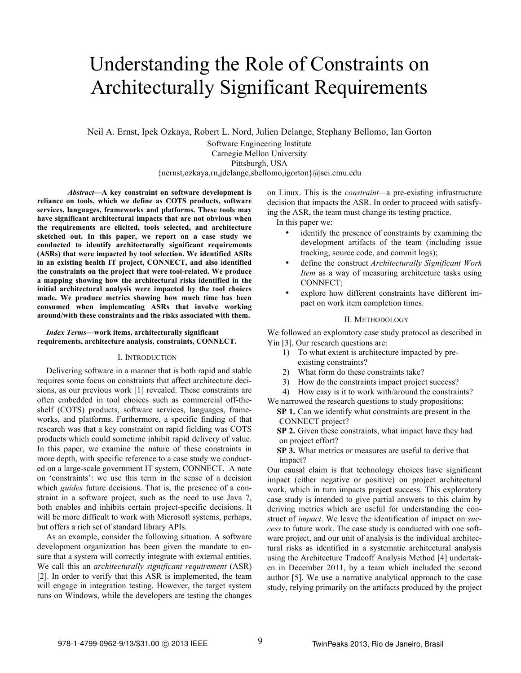# Understanding the Role of Constraints on Architecturally Significant Requirements

Neil A. Ernst, Ipek Ozkaya, Robert L. Nord, Julien Delange, Stephany Bellomo, Ian Gorton

Software Engineering Institute Carnegie Mellon University Pittsburgh, USA

{nernst,ozkaya,rn,jdelange,sbellomo,igorton}@sei.cmu.edu

*Abstract***—A key constraint on software development is reliance on tools, which we define as COTS products, software services, languages, frameworks and platforms. These tools may have significant architectural impacts that are not obvious when the requirements are elicited, tools selected, and architecture sketched out. In this paper, we report on a case study we conducted to identify architecturally significant requirements (ASRs) that were impacted by tool selection. We identified ASRs in an existing health IT project, CONNECT, and also identified the constraints on the project that were tool-related. We produce a mapping showing how the architectural risks identified in the initial architectural analysis were impacted by the tool choices made. We produce metrics showing how much time has been consumed when implementing ASRs that involve working around/with these constraints and the risks associated with them.** 

## *Index Terms***—work items, architecturally significant requirements, architecture analysis, constraints, CONNECT.**

### I. INTRODUCTION

Delivering software in a manner that is both rapid and stable requires some focus on constraints that affect architecture decisions, as our previous work [1] revealed. These constraints are often embedded in tool choices such as commercial off-theshelf (COTS) products, software services, languages, frameworks, and platforms. Furthermore, a specific finding of that research was that a key constraint on rapid fielding was COTS products which could sometime inhibit rapid delivery of value. In this paper, we examine the nature of these constraints in more depth, with specific reference to a case study we conducted on a large-scale government IT system, CONNECT. A note on 'constraints': we use this term in the sense of a decision which *guides* future decisions. That is, the presence of a constraint in a software project, such as the need to use Java 7, both enables and inhibits certain project-specific decisions. It will be more difficult to work with Microsoft systems, perhaps, but offers a rich set of standard library APIs.

As an example, consider the following situation. A software development organization has been given the mandate to ensure that a system will correctly integrate with external entities. We call this an *architecturally significant requirement* (ASR) [2]. In order to verify that this ASR is implemented, the team will engage in integration testing. However, the target system runs on Windows, while the developers are testing the changes on Linux. This is the *constraint—*a pre-existing infrastructure decision that impacts the ASR. In order to proceed with satisfying the ASR, the team must change its testing practice.

In this paper we:

- identify the presence of constraints by examining the development artifacts of the team (including issue tracking, source code, and commit logs);
- define the construct *Architecturally Significant Work Item* as a way of measuring architecture tasks using CONNECT;
- explore how different constraints have different impact on work item completion times.

# II. METHODOLOGY

We followed an exploratory case study protocol as described in Yin [3]. Our research questions are:

- 1) To what extent is architecture impacted by preexisting constraints?
- 2) What form do these constraints take?
- 3) How do the constraints impact project success?
- 4) How easy is it to work with/around the constraints?
- We narrowed the research questions to study propositions:
	- **SP 1.** Can we identify what constraints are present in the CONNECT project?
	- **SP 2.** Given these constraints, what impact have they had on project effort?
	- **SP 3.** What metrics or measures are useful to derive that impact?

Our causal claim is that technology choices have significant impact (either negative or positive) on project architectural work, which in turn impacts project success. This exploratory case study is intended to give partial answers to this claim by deriving metrics which are useful for understanding the construct of *impact*. We leave the identification of impact on *success* to future work. The case study is conducted with one software project, and our unit of analysis is the individual architectural risks as identified in a systematic architectural analysis using the Architecture Tradeoff Analysis Method [4] undertaken in December 2011, by a team which included the second author [5]. We use a narrative analytical approach to the case study, relying primarily on the artifacts produced by the project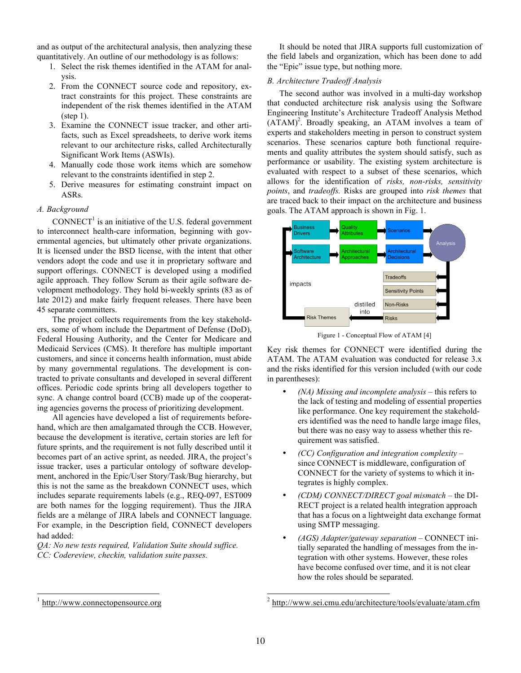and as output of the architectural analysis, then analyzing these quantitatively. An outline of our methodology is as follows:

- 1. Select the risk themes identified in the ATAM for analysis.
- 2. From the CONNECT source code and repository, extract constraints for this project. These constraints are independent of the risk themes identified in the ATAM (step 1).
- 3. Examine the CONNECT issue tracker, and other artifacts, such as Excel spreadsheets, to derive work items relevant to our architecture risks, called Architecturally Significant Work Items (ASWIs).
- 4. Manually code those work items which are somehow relevant to the constraints identified in step 2.
- 5. Derive measures for estimating constraint impact on ASRs.

# *A. Background*

 $COMNECT<sup>1</sup>$  is an initiative of the U.S. federal government to interconnect health-care information, beginning with governmental agencies, but ultimately other private organizations. It is licensed under the BSD license, with the intent that other vendors adopt the code and use it in proprietary software and support offerings. CONNECT is developed using a modified agile approach. They follow Scrum as their agile software development methodology. They hold bi-weekly sprints (83 as of late 2012) and make fairly frequent releases. There have been 45 separate committers.

The project collects requirements from the key stakeholders, some of whom include the Department of Defense (DoD), Federal Housing Authority, and the Center for Medicare and Medicaid Services (CMS). It therefore has multiple important customers, and since it concerns health information, must abide by many governmental regulations. The development is contracted to private consultants and developed in several different offices. Periodic code sprints bring all developers together to sync. A change control board (CCB) made up of the cooperating agencies governs the process of prioritizing development.

All agencies have developed a list of requirements beforehand, which are then amalgamated through the CCB. However, because the development is iterative, certain stories are left for future sprints, and the requirement is not fully described until it becomes part of an active sprint, as needed. JIRA, the project's issue tracker, uses a particular ontology of software development, anchored in the Epic/User Story/Task/Bug hierarchy, but this is not the same as the breakdown CONNECT uses, which includes separate requirements labels (e.g., REQ-097, EST009 are both names for the logging requirement). Thus the JIRA fields are a mélange of JIRA labels and CONNECT language. For example, in the Description field, CONNECT developers had added:

*QA: No new tests required, Validation Suite should suffice. CC: Codereview, checkin, validation suite passes.*

It should be noted that JIRA supports full customization of the field labels and organization, which has been done to add the "Epic" issue type, but nothing more.

## *B. Architecture Tradeoff Analysis*

The second author was involved in a multi-day workshop that conducted architecture risk analysis using the Software Engineering Institute's Architecture Tradeoff Analysis Method  $(ATAM)<sup>2</sup>$ . Broadly speaking, an ATAM involves a team of experts and stakeholders meeting in person to construct system scenarios. These scenarios capture both functional requirements and quality attributes the system should satisfy, such as performance or usability. The existing system architecture is evaluated with respect to a subset of these scenarios, which allows for the identification of *risks, non-risks, sensitivity points*, and *tradeoffs.* Risks are grouped into *risk themes* that are traced back to their impact on the architecture and business goals. The ATAM approach is shown in Fig. 1.



Figure 1 - Conceptual Flow of ATAM [4]

Key risk themes for CONNECT were identified during the ATAM. The ATAM evaluation was conducted for release 3.x and the risks identified for this version included (with our code in parentheses):

- *(NA) Missing and incomplete analysis* this refers to the lack of testing and modeling of essential properties like performance. One key requirement the stakeholders identified was the need to handle large image files, but there was no easy way to assess whether this requirement was satisfied.
- *(CC) Configuration and integration complexity* since CONNECT is middleware, configuration of CONNECT for the variety of systems to which it integrates is highly complex.
- *(CDM) CONNECT/DIRECT goal mismatch* the DI-RECT project is a related health integration approach that has a focus on a lightweight data exchange format using SMTP messaging.
- *(AGS) Adapter/gateway separation* CONNECT initially separated the handling of messages from the integration with other systems. However, these roles have become confused over time, and it is not clear how the roles should be separated.

http://www.connectopensource.org

 <sup>2</sup> http://www.sei.cmu.edu/architecture/tools/evaluate/atam.cfm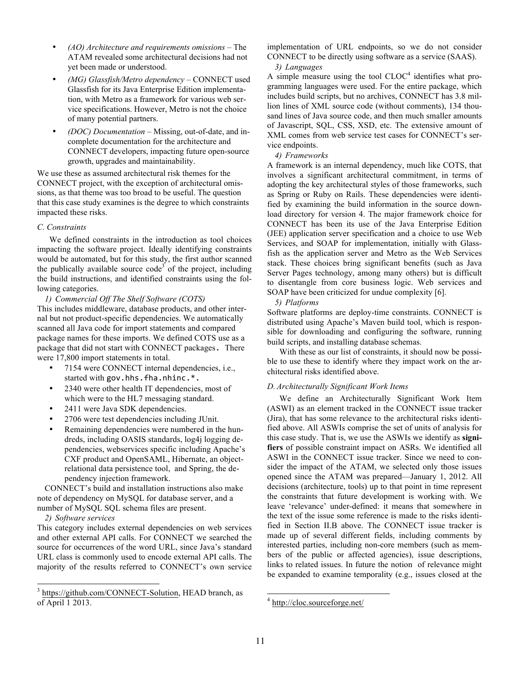- *(AO) Architecture and requirements omissions* The ATAM revealed some architectural decisions had not yet been made or understood.
- *(MG) Glassfish/Metro dependency* CONNECT used Glassfish for its Java Enterprise Edition implementation, with Metro as a framework for various web service specifications. However, Metro is not the choice of many potential partners.
- *(DOC) Documentation* Missing, out-of-date, and incomplete documentation for the architecture and CONNECT developers, impacting future open-source growth, upgrades and maintainability.

We use these as assumed architectural risk themes for the CONNECT project, with the exception of architectural omissions, as that theme was too broad to be useful. The question that this case study examines is the degree to which constraints impacted these risks.

# *C. Constraints*

We defined constraints in the introduction as tool choices impacting the software project. Ideally identifying constraints would be automated, but for this study, the first author scanned the publically available source  $code^3$  of the project, including the build instructions, and identified constraints using the following categories.

*1) Commercial Off The Shelf Software (COTS)* This includes middleware, database products, and other internal but not product-specific dependencies. We automatically scanned all Java code for import statements and compared package names for these imports. We defined COTS use as a package that did not start with CONNECT packages. There were 17,800 import statements in total.

- 7154 were CONNECT internal dependencies, i.e., started with gov.hhs.fha.nhinc.\*.
- 2340 were other health IT dependencies, most of which were to the HL7 messaging standard.
- 2411 were Java SDK dependencies.
- 2706 were test dependencies including JUnit.
- Remaining dependencies were numbered in the hundreds, including OASIS standards, log4j logging dependencies, webservices specific including Apache's CXF product and OpenSAML, Hibernate, an objectrelational data persistence tool, and Spring, the dependency injection framework.

CONNECT's build and installation instructions also make note of dependency on MySQL for database server, and a number of MySQL SQL schema files are present.

*2) Software services* 

This category includes external dependencies on web services and other external API calls. For CONNECT we searched the source for occurrences of the word URL, since Java's standard URL class is commonly used to encode external API calls. The majority of the results referred to CONNECT's own service implementation of URL endpoints, so we do not consider CONNECT to be directly using software as a service (SAAS).

# *3) Languages*

A simple measure using the tool  $CLOC<sup>4</sup>$  identifies what programming languages were used. For the entire package, which includes build scripts, but no archives, CONNECT has 3.8 million lines of XML source code (without comments), 134 thousand lines of Java source code, and then much smaller amounts of Javascript, SQL, CSS, XSD, etc. The extensive amount of XML comes from web service test cases for CONNECT's service endpoints.

# *4) Frameworks*

A framework is an internal dependency, much like COTS, that involves a significant architectural commitment, in terms of adopting the key architectural styles of those frameworks, such as Spring or Ruby on Rails. These dependencies were identified by examining the build information in the source download directory for version 4. The major framework choice for CONNECT has been its use of the Java Enterprise Edition (JEE) application server specification and a choice to use Web Services, and SOAP for implementation, initially with Glassfish as the application server and Metro as the Web Services stack. These choices bring significant benefits (such as Java Server Pages technology, among many others) but is difficult to disentangle from core business logic. Web services and SOAP have been criticized for undue complexity [6].

*5) Platforms* 

Software platforms are deploy-time constraints. CONNECT is distributed using Apache's Maven build tool, which is responsible for downloading and configuring the software, running build scripts, and installing database schemas.

With these as our list of constraints, it should now be possible to use these to identify where they impact work on the architectural risks identified above.

# *D. Architecturally Significant Work Items*

We define an Architecturally Significant Work Item (ASWI) as an element tracked in the CONNECT issue tracker (Jira), that has some relevance to the architectural risks identified above. All ASWIs comprise the set of units of analysis for this case study. That is, we use the ASWIs we identify as **signifiers** of possible constraint impact on ASRs. We identified all ASWI in the CONNECT issue tracker. Since we need to consider the impact of the ATAM, we selected only those issues opened since the ATAM was prepared—January 1, 2012. All decisions (architecture, tools) up to that point in time represent the constraints that future development is working with. We leave 'relevance' under-defined: it means that somewhere in the text of the issue some reference is made to the risks identified in Section II.B above. The CONNECT issue tracker is made up of several different fields, including comments by interested parties, including non-core members (such as members of the public or affected agencies), issue descriptions, links to related issues. In future the notion of relevance might be expanded to examine temporality (e.g., issues closed at the

<sup>&</sup>lt;sup>3</sup> https://github.com/CONNECT-Solution, HEAD branch, as of April 1 2013.

 <sup>4</sup> http://cloc.sourceforge.net/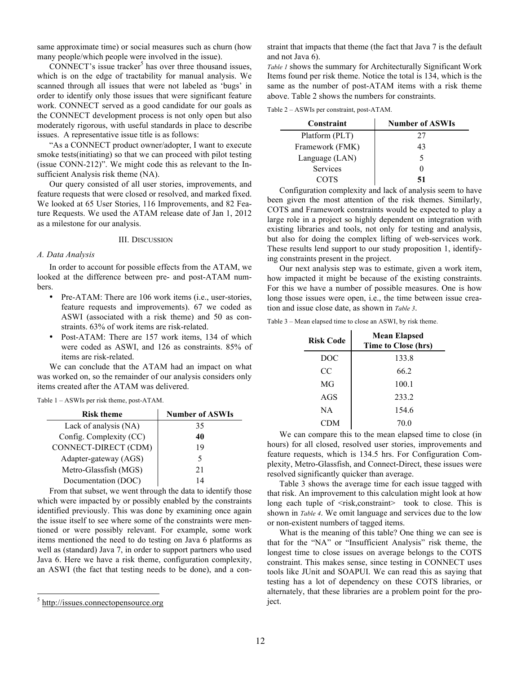same approximate time) or social measures such as churn (how many people/which people were involved in the issue).

 $CONNECT's issue tracker<sup>5</sup> has over three thousand issues,$ which is on the edge of tractability for manual analysis. We scanned through all issues that were not labeled as 'bugs' in order to identify only those issues that were significant feature work. CONNECT served as a good candidate for our goals as the CONNECT development process is not only open but also moderately rigorous, with useful standards in place to describe issues. A representative issue title is as follows:

"As a CONNECT product owner/adopter, I want to execute smoke tests(initiating) so that we can proceed with pilot testing (issue CONN-212)". We might code this as relevant to the Insufficient Analysis risk theme (NA).

Our query consisted of all user stories, improvements, and feature requests that were closed or resolved, and marked fixed. We looked at 65 User Stories, 116 Improvements, and 82 Feature Requests. We used the ATAM release date of Jan 1, 2012 as a milestone for our analysis.

## III. DISCUSSION

## *A. Data Analysis*

In order to account for possible effects from the ATAM, we looked at the difference between pre- and post-ATAM numbers.

- Pre-ATAM: There are 106 work items (i.e., user-stories, feature requests and improvements). 67 we coded as ASWI (associated with a risk theme) and 50 as constraints. 63% of work items are risk-related.
- Post-ATAM: There are 157 work items, 134 of which were coded as ASWI, and 126 as constraints. 85% of items are risk-related.

We can conclude that the ATAM had an impact on what was worked on, so the remainder of our analysis considers only items created after the ATAM was delivered.

Table 1 – ASWIs per risk theme, post-ATAM.

| <b>Risk theme</b>       | <b>Number of ASWIs</b> |
|-------------------------|------------------------|
| Lack of analysis (NA)   | 35                     |
| Config. Complexity (CC) | 40                     |
| CONNECT-DIRECT (CDM)    | 19                     |
| Adapter-gateway (AGS)   |                        |
| Metro-Glassfish (MGS)   | 21                     |
| Documentation (DOC)     | 14                     |

From that subset, we went through the data to identify those which were impacted by or possibly enabled by the constraints identified previously. This was done by examining once again the issue itself to see where some of the constraints were mentioned or were possibly relevant. For example, some work items mentioned the need to do testing on Java 6 platforms as well as (standard) Java 7, in order to support partners who used Java 6. Here we have a risk theme, configuration complexity, an ASWI (the fact that testing needs to be done), and a constraint that impacts that theme (the fact that Java 7 is the default and not Java 6).

*Table 1* shows the summary for Architecturally Significant Work Items found per risk theme. Notice the total is 134, which is the same as the number of post-ATAM items with a risk theme above. Table 2 shows the numbers for constraints.

Table 2 – ASWIs per constraint, post-ATAM.

| Constraint      | <b>Number of ASWIs</b> |
|-----------------|------------------------|
| Platform (PLT)  | 27                     |
| Framework (FMK) | 43                     |
| Language (LAN)  | 5                      |
| <b>Services</b> |                        |
| COTS            |                        |

Configuration complexity and lack of analysis seem to have been given the most attention of the risk themes. Similarly, COTS and Framework constraints would be expected to play a large role in a project so highly dependent on integration with existing libraries and tools, not only for testing and analysis, but also for doing the complex lifting of web-services work. These results lend support to our study proposition 1, identifying constraints present in the project.

Our next analysis step was to estimate, given a work item, how impacted it might be because of the existing constraints. For this we have a number of possible measures. One is how long those issues were open, i.e., the time between issue creation and issue close date, as shown in *Table 3*.

Table 3 – Mean elapsed time to close an ASWI, by risk theme.

| <b>Risk Code</b> | <b>Mean Elapsed</b><br>Time to Close (hrs) |  |  |
|------------------|--------------------------------------------|--|--|
| DOC              | 133.8                                      |  |  |
| CC               | 66.2                                       |  |  |
| MG               | 100.1                                      |  |  |
| AGS              | 233.2                                      |  |  |
| NA               | 154.6                                      |  |  |
| CDM              | 70.0                                       |  |  |

We can compare this to the mean elapsed time to close (in hours) for all closed, resolved user stories, improvements and feature requests, which is 134.5 hrs. For Configuration Complexity, Metro-Glassfish, and Connect-Direct, these issues were resolved significantly quicker than average.

Table 3 shows the average time for each issue tagged with that risk. An improvement to this calculation might look at how long each tuple of <risk,constraint> took to close. This is shown in *Table 4*. We omit language and services due to the low or non-existent numbers of tagged items.

What is the meaning of this table? One thing we can see is that for the "NA" or "Insufficient Analysis" risk theme, the longest time to close issues on average belongs to the COTS constraint. This makes sense, since testing in CONNECT uses tools like JUnit and SOAPUI. We can read this as saying that testing has a lot of dependency on these COTS libraries, or alternately, that these libraries are a problem point for the project.

 <sup>5</sup> http://issues.connectopensource.org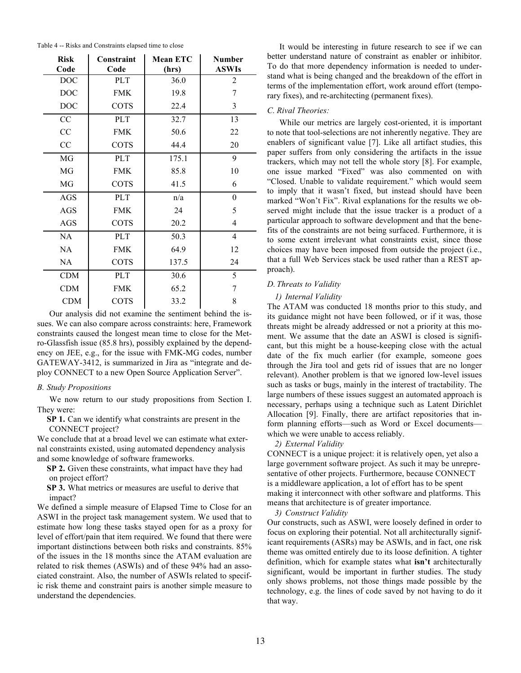| <b>Risk</b><br>Code | Constraint<br>Code | <b>Mean ETC</b> | <b>Number</b><br><b>ASWIs</b> |
|---------------------|--------------------|-----------------|-------------------------------|
|                     |                    | (hrs)           |                               |
| <b>DOC</b>          | <b>PLT</b>         | 36.0            | 2                             |
| <b>DOC</b>          | <b>FMK</b>         | 19.8            | 7                             |
| <b>DOC</b>          | <b>COTS</b>        | 22.4            | 3                             |
| CC                  | <b>PLT</b>         | 32.7            | 13                            |
| CC                  | <b>FMK</b>         | 50.6            | 22                            |
| CC                  | <b>COTS</b>        | 44.4            | 20                            |
| MG                  | <b>PLT</b>         | 175.1           | 9                             |
| MG                  | <b>FMK</b>         | 85.8            | 10                            |
| MG                  | <b>COTS</b>        | 41.5            | 6                             |
| AGS                 | <b>PLT</b>         | n/a             | $\theta$                      |
| AGS                 | <b>FMK</b>         | 24              | 5                             |
| AGS                 | <b>COTS</b>        | 20.2            | $\overline{4}$                |
| <b>NA</b>           | PLT                | 50.3            | $\overline{4}$                |
| <b>NA</b>           | <b>FMK</b>         | 64.9            | 12                            |
| <b>NA</b>           | <b>COTS</b>        | 137.5           | 24                            |
| <b>CDM</b>          | <b>PLT</b>         | 30.6            | 5                             |
| <b>CDM</b>          | <b>FMK</b>         | 65.2            | 7                             |
| <b>CDM</b>          | <b>COTS</b>        | 33.2            | 8                             |

Our analysis did not examine the sentiment behind the issues. We can also compare across constraints: here, Framework constraints caused the longest mean time to close for the Metro-Glassfish issue (85.8 hrs), possibly explained by the dependency on JEE, e.g., for the issue with FMK-MG codes, number GATEWAY-3412, is summarized in Jira as "integrate and deploy CONNECT to a new Open Source Application Server".

#### *B. Study Propositions*

We now return to our study propositions from Section I. They were:

**SP 1.** Can we identify what constraints are present in the CONNECT project?

We conclude that at a broad level we can estimate what external constraints existed, using automated dependency analysis and some knowledge of software frameworks.

**SP 2.** Given these constraints, what impact have they had on project effort?

**SP 3.** What metrics or measures are useful to derive that impact?

We defined a simple measure of Elapsed Time to Close for an ASWI in the project task management system. We used that to estimate how long these tasks stayed open for as a proxy for level of effort/pain that item required. We found that there were important distinctions between both risks and constraints. 85% of the issues in the 18 months since the ATAM evaluation are related to risk themes (ASWIs) and of these 94% had an associated constraint. Also, the number of ASWIs related to specific risk theme and constraint pairs is another simple measure to understand the dependencies.

It would be interesting in future research to see if we can better understand nature of constraint as enabler or inhibitor. To do that more dependency information is needed to understand what is being changed and the breakdown of the effort in terms of the implementation effort, work around effort (temporary fixes), and re-architecting (permanent fixes).

# *C. Rival Theories:*

While our metrics are largely cost-oriented, it is important to note that tool-selections are not inherently negative. They are enablers of significant value [7]. Like all artifact studies, this paper suffers from only considering the artifacts in the issue trackers, which may not tell the whole story [8]. For example, one issue marked "Fixed" was also commented on with "Closed. Unable to validate requirement." which would seem to imply that it wasn't fixed, but instead should have been marked "Won't Fix". Rival explanations for the results we observed might include that the issue tracker is a product of a particular approach to software development and that the benefits of the constraints are not being surfaced. Furthermore, it is to some extent irrelevant what constraints exist, since those choices may have been imposed from outside the project (i.e., that a full Web Services stack be used rather than a REST approach).

## *D. Threats to Validity*

#### *1) Internal Validity*

The ATAM was conducted 18 months prior to this study, and its guidance might not have been followed, or if it was, those threats might be already addressed or not a priority at this moment. We assume that the date an ASWI is closed is significant, but this might be a house-keeping close with the actual date of the fix much earlier (for example, someone goes through the Jira tool and gets rid of issues that are no longer relevant). Another problem is that we ignored low-level issues such as tasks or bugs, mainly in the interest of tractability. The large numbers of these issues suggest an automated approach is necessary, perhaps using a technique such as Latent Dirichlet Allocation [9]. Finally, there are artifact repositories that inform planning efforts—such as Word or Excel documents which we were unable to access reliably.

#### *2) External Validity*

CONNECT is a unique project: it is relatively open, yet also a large government software project. As such it may be unrepresentative of other projects. Furthermore, because CONNECT is a middleware application, a lot of effort has to be spent making it interconnect with other software and platforms. This means that architecture is of greater importance.

## *3) Construct Validity*

Our constructs, such as ASWI, were loosely defined in order to focus on exploring their potential. Not all architecturally significant requirements (ASRs) may be ASWIs, and in fact, one risk theme was omitted entirely due to its loose definition. A tighter definition, which for example states what **isn't** architecturally significant, would be important in further studies. The study only shows problems, not those things made possible by the technology, e.g. the lines of code saved by not having to do it that way.